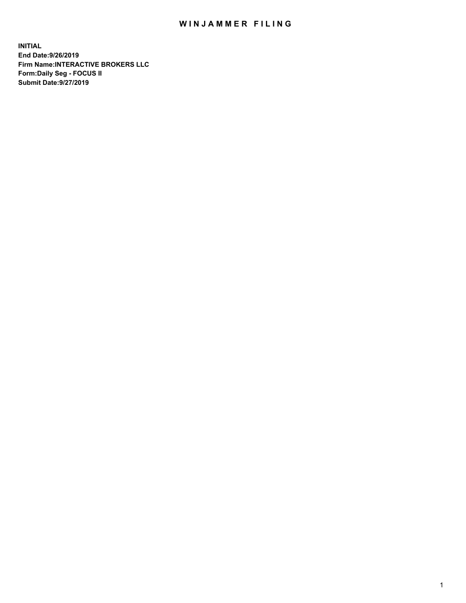## WIN JAMMER FILING

**INITIAL End Date:9/26/2019 Firm Name:INTERACTIVE BROKERS LLC Form:Daily Seg - FOCUS II Submit Date:9/27/2019**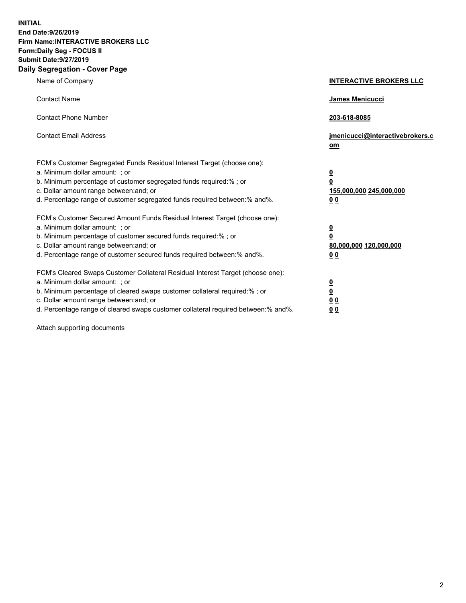**INITIAL End Date:9/26/2019 Firm Name:INTERACTIVE BROKERS LLC Form:Daily Seg - FOCUS II Submit Date:9/27/2019 Daily Segregation - Cover Page**

| Name of Company                                                                                                                                                                                                                                                                                                                | <b>INTERACTIVE BROKERS LLC</b>                                                   |
|--------------------------------------------------------------------------------------------------------------------------------------------------------------------------------------------------------------------------------------------------------------------------------------------------------------------------------|----------------------------------------------------------------------------------|
| <b>Contact Name</b>                                                                                                                                                                                                                                                                                                            | James Menicucci                                                                  |
| <b>Contact Phone Number</b>                                                                                                                                                                                                                                                                                                    | 203-618-8085                                                                     |
| <b>Contact Email Address</b>                                                                                                                                                                                                                                                                                                   | jmenicucci@interactivebrokers.c<br>om                                            |
| FCM's Customer Segregated Funds Residual Interest Target (choose one):<br>a. Minimum dollar amount: ; or<br>b. Minimum percentage of customer segregated funds required:% ; or<br>c. Dollar amount range between: and; or<br>d. Percentage range of customer segregated funds required between:% and%.                         | <u>0</u><br>$\overline{\mathbf{0}}$<br>155,000,000 245,000,000<br>0 <sub>0</sub> |
| FCM's Customer Secured Amount Funds Residual Interest Target (choose one):<br>a. Minimum dollar amount: ; or<br>b. Minimum percentage of customer secured funds required:% ; or<br>c. Dollar amount range between: and; or<br>d. Percentage range of customer secured funds required between:% and%.                           | <u>0</u><br>$\overline{\mathbf{0}}$<br>80,000,000 120,000,000<br>0 <sub>0</sub>  |
| FCM's Cleared Swaps Customer Collateral Residual Interest Target (choose one):<br>a. Minimum dollar amount: ; or<br>b. Minimum percentage of cleared swaps customer collateral required:% ; or<br>c. Dollar amount range between: and; or<br>d. Percentage range of cleared swaps customer collateral required between:% and%. | <u>0</u><br>$\underline{\mathbf{0}}$<br>0 <sub>0</sub><br>0 <sub>0</sub>         |

Attach supporting documents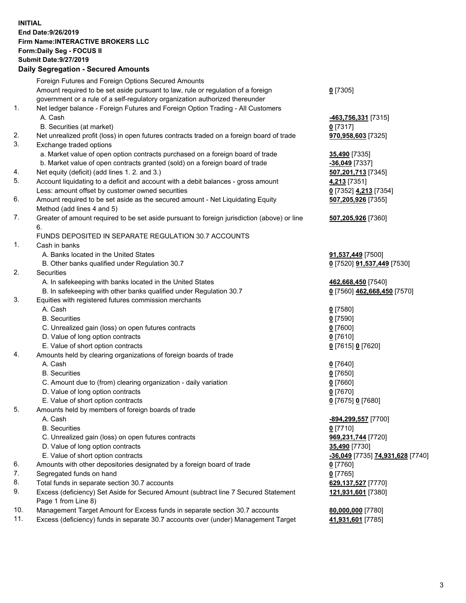## **INITIAL End Date:9/26/2019 Firm Name:INTERACTIVE BROKERS LLC Form:Daily Seg - FOCUS II Submit Date:9/27/2019 Daily Segregation - Secured Amounts**

|     | Daily Ocglegation - Occured Anioants                                                        |                                                                             |
|-----|---------------------------------------------------------------------------------------------|-----------------------------------------------------------------------------|
|     | Foreign Futures and Foreign Options Secured Amounts                                         |                                                                             |
|     | Amount required to be set aside pursuant to law, rule or regulation of a foreign            | $0$ [7305]                                                                  |
|     | government or a rule of a self-regulatory organization authorized thereunder                |                                                                             |
| 1.  | Net ledger balance - Foreign Futures and Foreign Option Trading - All Customers             |                                                                             |
|     | A. Cash                                                                                     | <u>-463,756,331</u> [7315]                                                  |
|     | B. Securities (at market)                                                                   | $0$ [7317]                                                                  |
| 2.  | Net unrealized profit (loss) in open futures contracts traded on a foreign board of trade   | 970,958,603 [7325]                                                          |
| 3.  | Exchange traded options                                                                     |                                                                             |
|     | a. Market value of open option contracts purchased on a foreign board of trade              | 35,490 [7335]                                                               |
|     | b. Market value of open contracts granted (sold) on a foreign board of trade                | $-36,049$ [7337]                                                            |
| 4.  | Net equity (deficit) (add lines 1.2. and 3.)                                                | 507,201,713 [7345]                                                          |
| 5.  | Account liquidating to a deficit and account with a debit balances - gross amount           | 4,213 [7351]                                                                |
|     | Less: amount offset by customer owned securities                                            | 0 [7352] 4,213 [7354]                                                       |
| 6.  | Amount required to be set aside as the secured amount - Net Liquidating Equity              | 507,205,926 [7355]                                                          |
|     | Method (add lines 4 and 5)                                                                  |                                                                             |
| 7.  | Greater of amount required to be set aside pursuant to foreign jurisdiction (above) or line | 507,205,926 [7360]                                                          |
|     | 6.                                                                                          |                                                                             |
|     | FUNDS DEPOSITED IN SEPARATE REGULATION 30.7 ACCOUNTS                                        |                                                                             |
| 1.  | Cash in banks                                                                               |                                                                             |
|     | A. Banks located in the United States                                                       | 91,537,449 [7500]                                                           |
|     | B. Other banks qualified under Regulation 30.7                                              | 0 [7520] 91,537,449 [7530]                                                  |
| 2.  | Securities                                                                                  |                                                                             |
|     | A. In safekeeping with banks located in the United States                                   | 462,668,450 [7540]                                                          |
|     | B. In safekeeping with other banks qualified under Regulation 30.7                          | 0 [7560] 462,668,450 [7570]                                                 |
| 3.  | Equities with registered futures commission merchants                                       |                                                                             |
|     | A. Cash                                                                                     | $0$ [7580]                                                                  |
|     | <b>B.</b> Securities                                                                        | $0$ [7590]                                                                  |
|     | C. Unrealized gain (loss) on open futures contracts                                         | $0$ [7600]                                                                  |
|     | D. Value of long option contracts                                                           | $0$ [7610]                                                                  |
|     | E. Value of short option contracts                                                          | 0 [7615] 0 [7620]                                                           |
| 4.  | Amounts held by clearing organizations of foreign boards of trade                           |                                                                             |
|     | A. Cash                                                                                     | $0$ [7640]                                                                  |
|     | <b>B.</b> Securities                                                                        | $0$ [7650]                                                                  |
|     | C. Amount due to (from) clearing organization - daily variation                             | $0$ [7660]                                                                  |
|     | D. Value of long option contracts                                                           | $0$ [7670]                                                                  |
|     | E. Value of short option contracts                                                          | 0 [7675] 0 [7680]                                                           |
| 5.  | Amounts held by members of foreign boards of trade<br>A. Cash                               |                                                                             |
|     | <b>B.</b> Securities                                                                        | -894,299,557 [7700]<br>$0$ [7710]                                           |
|     | C. Unrealized gain (loss) on open futures contracts                                         | 969,231,744 [7720]                                                          |
|     | D. Value of long option contracts                                                           |                                                                             |
|     | E. Value of short option contracts                                                          | 35,490 [7730]<br><mark>-36,049</mark> [7735] <mark>74,931,628</mark> [7740] |
| 6.  | Amounts with other depositories designated by a foreign board of trade                      |                                                                             |
| 7.  | Segregated funds on hand                                                                    | 0 [7760]<br>$0$ [7765]                                                      |
| 8.  | Total funds in separate section 30.7 accounts                                               | 629,137,527 [7770]                                                          |
| 9.  | Excess (deficiency) Set Aside for Secured Amount (subtract line 7 Secured Statement         | 121,931,601 [7380]                                                          |
|     | Page 1 from Line 8)                                                                         |                                                                             |
| 10. | Management Target Amount for Excess funds in separate section 30.7 accounts                 | 80,000,000 [7780]                                                           |
| 11. | Excess (deficiency) funds in separate 30.7 accounts over (under) Management Target          | 41,931,601 [7785]                                                           |
|     |                                                                                             |                                                                             |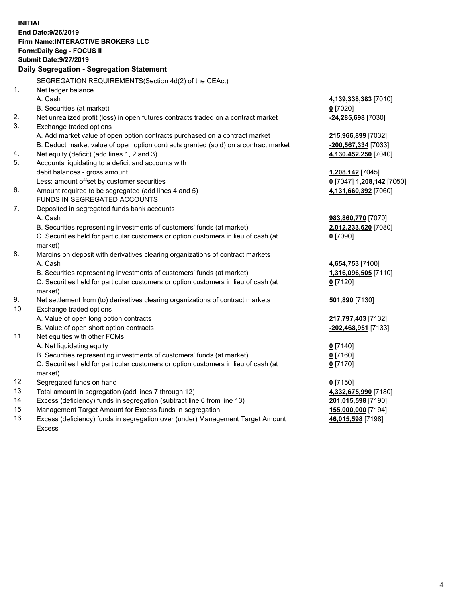**INITIAL End Date:9/26/2019 Firm Name:INTERACTIVE BROKERS LLC Form:Daily Seg - FOCUS II Submit Date:9/27/2019 Daily Segregation - Segregation Statement** SEGREGATION REQUIREMENTS(Section 4d(2) of the CEAct) 1. Net ledger balance A. Cash **4,139,338,383** [7010] B. Securities (at market) **0** [7020] 2. Net unrealized profit (loss) in open futures contracts traded on a contract market **-24,285,698** [7030] 3. Exchange traded options A. Add market value of open option contracts purchased on a contract market **215,966,899** [7032] B. Deduct market value of open option contracts granted (sold) on a contract market **-200,567,334** [7033] 4. Net equity (deficit) (add lines 1, 2 and 3) **4,130,452,250** [7040] 5. Accounts liquidating to a deficit and accounts with debit balances - gross amount **1,208,142** [7045] Less: amount offset by customer securities **0** [7047] **1,208,142** [7050] 6. Amount required to be segregated (add lines 4 and 5) **4,131,660,392** [7060] FUNDS IN SEGREGATED ACCOUNTS 7. Deposited in segregated funds bank accounts A. Cash **983,860,770** [7070] B. Securities representing investments of customers' funds (at market) **2,012,233,620** [7080] C. Securities held for particular customers or option customers in lieu of cash (at market) **0** [7090] 8. Margins on deposit with derivatives clearing organizations of contract markets A. Cash **4,654,753** [7100] B. Securities representing investments of customers' funds (at market) **1,316,096,505** [7110] C. Securities held for particular customers or option customers in lieu of cash (at market) **0** [7120] 9. Net settlement from (to) derivatives clearing organizations of contract markets **501,890** [7130] 10. Exchange traded options A. Value of open long option contracts **217,797,403** [7132] B. Value of open short option contracts **-202,468,951** [7133] 11. Net equities with other FCMs A. Net liquidating equity **0** [7140] B. Securities representing investments of customers' funds (at market) **0** [7160] C. Securities held for particular customers or option customers in lieu of cash (at market) **0** [7170] 12. Segregated funds on hand **0** [7150] 13. Total amount in segregation (add lines 7 through 12) **4,332,675,990** [7180] 14. Excess (deficiency) funds in segregation (subtract line 6 from line 13) **201,015,598** [7190] 15. Management Target Amount for Excess funds in segregation **155,000,000** [7194] **46,015,598** [7198]

16. Excess (deficiency) funds in segregation over (under) Management Target Amount Excess